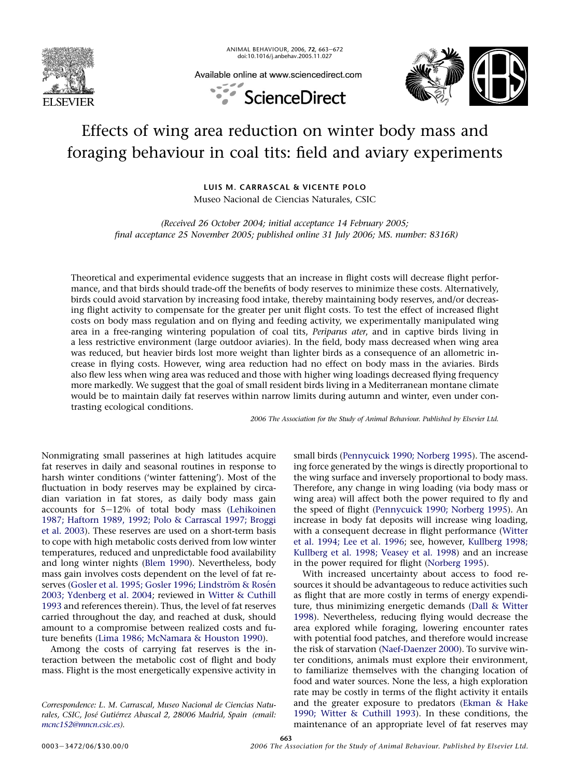

ANIMAL BEHAVIOUR, 2006, 72, 663-672 doi:10.1016/j.anbehav.2005.11.027



Available online at www.sciencedirect.com



# Effects of wing area reduction on winter body mass and foraging behaviour in coal tits: field and aviary experiments

LUIS M. CARRASCAL & VICENTE POLO Museo Nacional de Ciencias Naturales, CSIC

(Received 26 October 2004; initial acceptance 14 February 2005; final acceptance 25 November 2005; published online 31 July 2006; MS. number: 8316R)

Theoretical and experimental evidence suggests that an increase in flight costs will decrease flight performance, and that birds should trade-off the benefits of body reserves to minimize these costs. Alternatively, birds could avoid starvation by increasing food intake, thereby maintaining body reserves, and/or decreasing flight activity to compensate for the greater per unit flight costs. To test the effect of increased flight costs on body mass regulation and on flying and feeding activity, we experimentally manipulated wing area in a free-ranging wintering population of coal tits, *Periparus ater*, and in captive birds living in a less restrictive environment (large outdoor aviaries). In the field, body mass decreased when wing area was reduced, but heavier birds lost more weight than lighter birds as a consequence of an allometric increase in flying costs. However, wing area reduction had no effect on body mass in the aviaries. Birds also flew less when wing area was reduced and those with higher wing loadings decreased flying frequency more markedly. We suggest that the goal of small resident birds living in a Mediterranean montane climate would be to maintain daily fat reserves within narrow limits during autumn and winter, even under contrasting ecological conditions.

2006 The Association for the Study of Animal Behaviour. Published by Elsevier Ltd.

Nonmigrating small passerines at high latitudes acquire fat reserves in daily and seasonal routines in response to harsh winter conditions ('winter fattening'). Most of the fluctuation in body reserves may be explained by circadian variation in fat stores, as daily body mass gain accounts for  $5-12\%$  of total body mass ([Lehikoinen](#page-9-0) [1987; Haftorn 1989, 1992; Polo & Carrascal 1997; Broggi](#page-9-0) [et al. 2003](#page-9-0)). These reserves are used on a short-term basis to cope with high metabolic costs derived from low winter temperatures, reduced and unpredictable food availability and long winter nights ([Blem 1990](#page-8-0)). Nevertheless, body mass gain involves costs dependent on the level of fat reserves (Gosler et al. 1995; Gosler 1996; Lindström & Rosén [2003; Ydenberg et al. 2004](#page-8-0); reviewed in [Witter & Cuthill](#page-9-0) [1993](#page-9-0) and references therein). Thus, the level of fat reserves carried throughout the day, and reached at dusk, should amount to a compromise between realized costs and future benefits [\(Lima 1986; McNamara & Houston 1990\)](#page-9-0).

Among the costs of carrying fat reserves is the interaction between the metabolic cost of flight and body mass. Flight is the most energetically expensive activity in

small birds ([Pennycuick 1990; Norberg 1995\)](#page-9-0). The ascending force generated by the wings is directly proportional to the wing surface and inversely proportional to body mass. Therefore, any change in wing loading (via body mass or wing area) will affect both the power required to fly and the speed of flight [\(Pennycuick 1990; Norberg 1995\)](#page-9-0). An increase in body fat deposits will increase wing loading, with a consequent decrease in flight performance [\(Witter](#page-9-0) [et al. 1994; Lee et al. 1996](#page-9-0); see, however, [Kullberg 1998;](#page-9-0) [Kullberg et al. 1998; Veasey et al. 1998\)](#page-9-0) and an increase in the power required for flight [\(Norberg 1995](#page-9-0)).

With increased uncertainty about access to food resources it should be advantageous to reduce activities such as flight that are more costly in terms of energy expenditure, thus minimizing energetic demands [\(Dall & Witter](#page-8-0) [1998](#page-8-0)). Nevertheless, reducing flying would decrease the area explored while foraging, lowering encounter rates with potential food patches, and therefore would increase the risk of starvation ([Naef-Daenzer 2000](#page-9-0)). To survive winter conditions, animals must explore their environment, to familiarize themselves with the changing location of food and water sources. None the less, a high exploration rate may be costly in terms of the flight activity it entails and the greater exposure to predators [\(Ekman & Hake](#page-8-0) [1990; Witter & Cuthill 1993](#page-8-0)). In these conditions, the maintenance of an appropriate level of fat reserves may

Correspondence: L. M. Carrascal, Museo Nacional de Ciencias Naturales, CSIC, José Gutiérrez Abascal 2, 28006 Madrid, Spain (email: [mcnc152@mncn.csic.es\)](mailto:mcnc152@mncn.csic.es).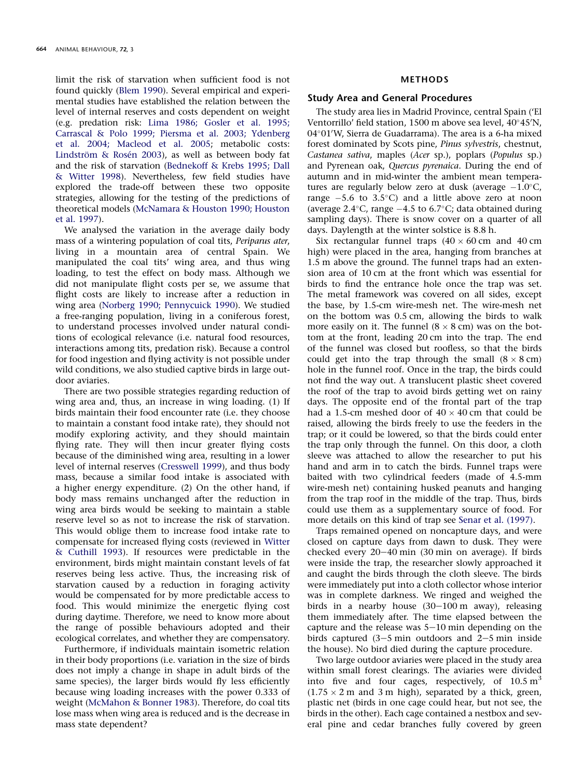limit the risk of starvation when sufficient food is not found quickly [\(Blem 1990](#page-8-0)). Several empirical and experimental studies have established the relation between the level of internal reserves and costs dependent on weight (e.g. predation risk: [Lima 1986; Gosler et al. 1995;](#page-9-0) [Carrascal & Polo 1999; Piersma et al. 2003; Ydenberg](#page-9-0) [et al. 2004; Macleod et al. 2005;](#page-9-0) metabolic costs: Lindström & Rosén 2003), as well as between body fat and the risk of starvation [\(Bednekoff & Krebs 1995; Dall](#page-8-0) [& Witter 1998](#page-8-0)). Nevertheless, few field studies have explored the trade-off between these two opposite strategies, allowing for the testing of the predictions of theoretical models [\(McNamara & Houston 1990; Houston](#page-9-0) [et al. 1997\)](#page-9-0).

We analysed the variation in the average daily body mass of a wintering population of coal tits, Periparus ater, living in a mountain area of central Spain. We manipulated the coal tits' wing area, and thus wing loading, to test the effect on body mass. Although we did not manipulate flight costs per se, we assume that flight costs are likely to increase after a reduction in wing area [\(Norberg 1990; Pennycuick 1990\)](#page-9-0). We studied a free-ranging population, living in a coniferous forest, to understand processes involved under natural conditions of ecological relevance (i.e. natural food resources, interactions among tits, predation risk). Because a control for food ingestion and flying activity is not possible under wild conditions, we also studied captive birds in large outdoor aviaries.

There are two possible strategies regarding reduction of wing area and, thus, an increase in wing loading. (1) If birds maintain their food encounter rate (i.e. they choose to maintain a constant food intake rate), they should not modify exploring activity, and they should maintain flying rate. They will then incur greater flying costs because of the diminished wing area, resulting in a lower level of internal reserves [\(Cresswell 1999](#page-8-0)), and thus body mass, because a similar food intake is associated with a higher energy expenditure. (2) On the other hand, if body mass remains unchanged after the reduction in wing area birds would be seeking to maintain a stable reserve level so as not to increase the risk of starvation. This would oblige them to increase food intake rate to compensate for increased flying costs (reviewed in [Witter](#page-9-0) [& Cuthill 1993](#page-9-0)). If resources were predictable in the environment, birds might maintain constant levels of fat reserves being less active. Thus, the increasing risk of starvation caused by a reduction in foraging activity would be compensated for by more predictable access to food. This would minimize the energetic flying cost during daytime. Therefore, we need to know more about the range of possible behaviours adopted and their ecological correlates, and whether they are compensatory.

Furthermore, if individuals maintain isometric relation in their body proportions (i.e. variation in the size of birds does not imply a change in shape in adult birds of the same species), the larger birds would fly less efficiently because wing loading increases with the power 0.333 of weight [\(McMahon & Bonner 1983](#page-9-0)). Therefore, do coal tits lose mass when wing area is reduced and is the decrease in mass state dependent?

#### METHODS

#### Study Area and General Procedures

The study area lies in Madrid Province, central Spain ('El Ventorrillo' field station, 1500 m above sea level, 40°45'N, 04°01'W, Sierra de Guadarrama). The area is a 6-ha mixed forest dominated by Scots pine, Pinus sylvestris, chestnut, Castanea sativa, maples (Acer sp.), poplars (Populus sp.) and Pyrenean oak, Quercus pyrenaica. During the end of autumn and in mid-winter the ambient mean temperatures are regularly below zero at dusk (average  $-1.0^{\circ}$ C, range  $-5.6$  to  $3.5^{\circ}$ C) and a little above zero at noon (average 2.4°C, range  $-4.5$  to 6.7°C; data obtained during sampling days). There is snow cover on a quarter of all days. Daylength at the winter solstice is 8.8 h.

Six rectangular funnel traps  $(40 \times 60 \text{ cm}$  and  $40 \text{ cm}$ high) were placed in the area, hanging from branches at 1.5 m above the ground. The funnel traps had an extension area of 10 cm at the front which was essential for birds to find the entrance hole once the trap was set. The metal framework was covered on all sides, except the base, by 1.5-cm wire-mesh net. The wire-mesh net on the bottom was 0.5 cm, allowing the birds to walk more easily on it. The funnel  $(8 \times 8 \text{ cm})$  was on the bottom at the front, leading 20 cm into the trap. The end of the funnel was closed but roofless, so that the birds could get into the trap through the small  $(8 \times 8 \text{ cm})$ hole in the funnel roof. Once in the trap, the birds could not find the way out. A translucent plastic sheet covered the roof of the trap to avoid birds getting wet on rainy days. The opposite end of the frontal part of the trap had a 1.5-cm meshed door of  $40 \times 40$  cm that could be raised, allowing the birds freely to use the feeders in the trap; or it could be lowered, so that the birds could enter the trap only through the funnel. On this door, a cloth sleeve was attached to allow the researcher to put his hand and arm in to catch the birds. Funnel traps were baited with two cylindrical feeders (made of 4.5-mm wire-mesh net) containing husked peanuts and hanging from the trap roof in the middle of the trap. Thus, birds could use them as a supplementary source of food. For more details on this kind of trap see [Senar et al. \(1997\).](#page-9-0)

Traps remained opened on noncapture days, and were closed on capture days from dawn to dusk. They were checked every  $20-40$  min  $(30 \text{ min on average})$ . If birds were inside the trap, the researcher slowly approached it and caught the birds through the cloth sleeve. The birds were immediately put into a cloth collector whose interior was in complete darkness. We ringed and weighed the birds in a nearby house  $(30-100 \text{ m}$  away), releasing them immediately after. The time elapsed between the capture and the release was  $5-10$  min depending on the birds captured  $(3-5 \text{ min}$  outdoors and  $2-5 \text{ min}$  inside the house). No bird died during the capture procedure.

Two large outdoor aviaries were placed in the study area within small forest clearings. The aviaries were divided into five and four cages, respectively, of  $10.5 \text{ m}^3$  $(1.75 \times 2 \text{ m}$  and 3 m high), separated by a thick, green, plastic net (birds in one cage could hear, but not see, the birds in the other). Each cage contained a nestbox and several pine and cedar branches fully covered by green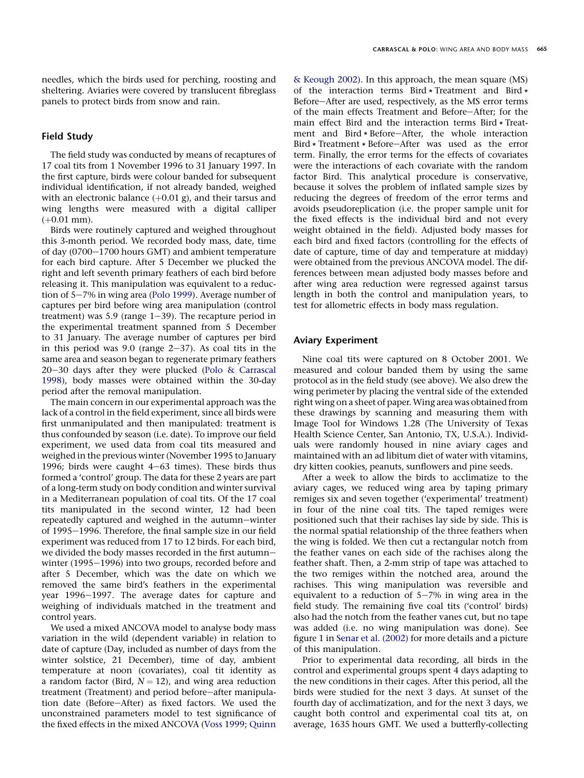needles, which the birds used for perching, roosting and sheltering. Aviaries were covered by translucent fibreglass panels to protect birds from snow and rain.

## Field Study

The field study was conducted by means of recaptures of 17 coal tits from 1 November 1996 to 31 January 1997. In the first capture, birds were colour banded for subsequent individual identification, if not already banded, weighed with an electronic balance  $(+0.01 \text{ g})$ , and their tarsus and wing lengths were measured with a digital calliper  $(+0.01$  mm).

Birds were routinely captured and weighed throughout this 3-month period. We recorded body mass, date, time of day  $(0700-1700$  hours GMT) and ambient temperature for each bird capture. After 5 December we plucked the right and left seventh primary feathers of each bird before releasing it. This manipulation was equivalent to a reduction of  $5-7\%$  in wing area [\(Polo 1999](#page-9-0)). Average number of captures per bird before wing area manipulation (control treatment) was  $5.9$  (range  $1-39$ ). The recapture period in the experimental treatment spanned from 5 December to 31 January. The average number of captures per bird in this period was 9.0 (range  $2-37$ ). As coal tits in the same area and season began to regenerate primary feathers  $20-30$  days after they were plucked ([Polo & Carrascal](#page-9-0) [1998](#page-9-0)), body masses were obtained within the 30-day period after the removal manipulation.

The main concern in our experimental approach was the lack of a control in the field experiment, since all birds were first unmanipulated and then manipulated: treatment is thus confounded by season (i.e. date). To improve our field experiment, we used data from coal tits measured and weighed in the previous winter (November 1995 to January 1996; birds were caught  $4-63$  times). These birds thus formed a 'control' group. The data for these 2 years are part of a long-term study on body condition and winter survival in a Mediterranean population of coal tits. Of the 17 coal tits manipulated in the second winter, 12 had been repeatedly captured and weighed in the autumn-winter of 1995–1996. Therefore, the final sample size in our field experiment was reduced from 17 to 12 birds. For each bird, we divided the body masses recorded in the first autumnwinter (1995-1996) into two groups, recorded before and after 5 December, which was the date on which we removed the same bird's feathers in the experimental year 1996-1997. The average dates for capture and weighing of individuals matched in the treatment and control years.

We used a mixed ANCOVA model to analyse body mass variation in the wild (dependent variable) in relation to date of capture (Day, included as number of days from the winter solstice, 21 December), time of day, ambient temperature at noon (covariates), coal tit identity as a random factor (Bird,  $N = 12$ ), and wing area reduction treatment (Treatment) and period before-after manipulation date (Before–After) as fixed factors. We used the unconstrained parameters model to test significance of the fixed effects in the mixed ANCOVA [\(Voss 1999; Quinn](#page-9-0)

[& Keough 2002\)](#page-9-0). In this approach, the mean square (MS) of the interaction terms Bird \* Treatment and Bird \* Before–After are used, respectively, as the MS error terms of the main effects Treatment and Before–After: for the main effect Bird and the interaction terms Bird \* Treatment and Bird \* Before-After, the whole interaction Bird \* Treatment \* Before-After was used as the error term. Finally, the error terms for the effects of covariates were the interactions of each covariate with the random factor Bird. This analytical procedure is conservative, because it solves the problem of inflated sample sizes by reducing the degrees of freedom of the error terms and avoids pseudoreplication (i.e. the proper sample unit for the fixed effects is the individual bird and not every weight obtained in the field). Adjusted body masses for each bird and fixed factors (controlling for the effects of date of capture, time of day and temperature at midday) were obtained from the previous ANCOVA model. The differences between mean adjusted body masses before and after wing area reduction were regressed against tarsus length in both the control and manipulation years, to test for allometric effects in body mass regulation.

#### Aviary Experiment

Nine coal tits were captured on 8 October 2001. We measured and colour banded them by using the same protocol as in the field study (see above). We also drew the wing perimeter by placing the ventral side of the extended right wing on a sheet of paper.Wing area was obtained from these drawings by scanning and measuring them with Image Tool for Windows 1.28 (The University of Texas Health Science Center, San Antonio, TX, U.S.A.). Individuals were randomly housed in nine aviary cages and maintained with an ad libitum diet of water with vitamins, dry kitten cookies, peanuts, sunflowers and pine seeds.

After a week to allow the birds to acclimatize to the aviary cages, we reduced wing area by taping primary remiges six and seven together ('experimental' treatment) in four of the nine coal tits. The taped remiges were positioned such that their rachises lay side by side. This is the normal spatial relationship of the three feathers when the wing is folded. We then cut a rectangular notch from the feather vanes on each side of the rachises along the feather shaft. Then, a 2-mm strip of tape was attached to the two remiges within the notched area, around the rachises. This wing manipulation was reversible and equivalent to a reduction of  $5-7%$  in wing area in the field study. The remaining five coal tits ('control' birds) also had the notch from the feather vanes cut, but no tape was added (i.e. no wing manipulation was done). See figure 1 in [Senar et al. \(2002\)](#page-9-0) for more details and a picture of this manipulation.

Prior to experimental data recording, all birds in the control and experimental groups spent 4 days adapting to the new conditions in their cages. After this period, all the birds were studied for the next 3 days. At sunset of the fourth day of acclimatization, and for the next 3 days, we caught both control and experimental coal tits at, on average, 1635 hours GMT. We used a butterfly-collecting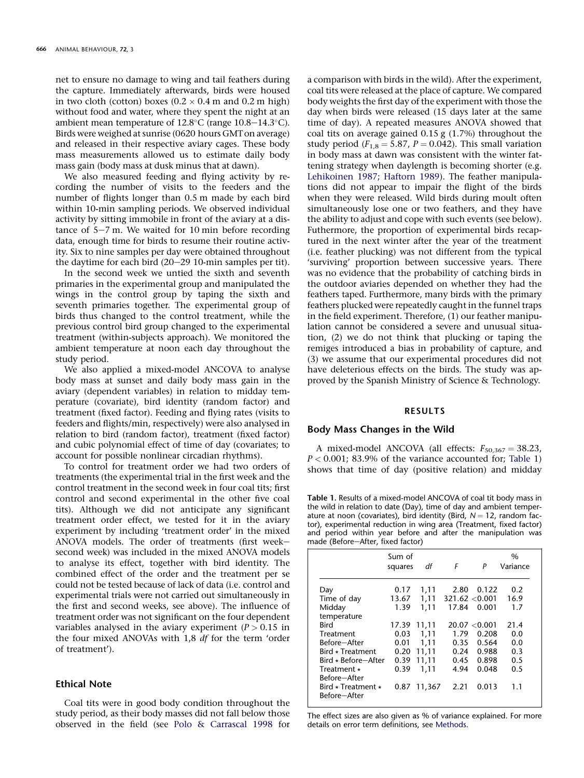<span id="page-3-0"></span>net to ensure no damage to wing and tail feathers during the capture. Immediately afterwards, birds were housed in two cloth (cotton) boxes  $(0.2 \times 0.4 \text{ m and } 0.2 \text{ m high})$ without food and water, where they spent the night at an ambient mean temperature of  $12.8^{\circ}$ C (range  $10.8-14.3^{\circ}$ C). Birds were weighed at sunrise (0620 hours GMT on average) and released in their respective aviary cages. These body mass measurements allowed us to estimate daily body mass gain (body mass at dusk minus that at dawn).

We also measured feeding and flying activity by recording the number of visits to the feeders and the number of flights longer than 0.5 m made by each bird within 10-min sampling periods. We observed individual activity by sitting immobile in front of the aviary at a distance of  $5-7$  m. We waited for 10 min before recording data, enough time for birds to resume their routine activity. Six to nine samples per day were obtained throughout the daytime for each bird  $(20-29 10$ -min samples per tit).

In the second week we untied the sixth and seventh primaries in the experimental group and manipulated the wings in the control group by taping the sixth and seventh primaries together. The experimental group of birds thus changed to the control treatment, while the previous control bird group changed to the experimental treatment (within-subjects approach). We monitored the ambient temperature at noon each day throughout the study period.

We also applied a mixed-model ANCOVA to analyse body mass at sunset and daily body mass gain in the aviary (dependent variables) in relation to midday temperature (covariate), bird identity (random factor) and treatment (fixed factor). Feeding and flying rates (visits to feeders and flights/min, respectively) were also analysed in relation to bird (random factor), treatment (fixed factor) and cubic polynomial effect of time of day (covariates; to account for possible nonlinear circadian rhythms).

To control for treatment order we had two orders of treatments (the experimental trial in the first week and the control treatment in the second week in four coal tits; first control and second experimental in the other five coal tits). Although we did not anticipate any significant treatment order effect, we tested for it in the aviary experiment by including 'treatment order' in the mixed ANOVA models. The order of treatments (first weeksecond week) was included in the mixed ANOVA models to analyse its effect, together with bird identity. The combined effect of the order and the treatment per se could not be tested because of lack of data (i.e. control and experimental trials were not carried out simultaneously in the first and second weeks, see above). The influence of treatment order was not significant on the four dependent variables analysed in the aviary experiment ( $P > 0.15$  in the four mixed ANOVAs with 1,8 df for the term 'order of treatment').

#### Ethical Note

Coal tits were in good body condition throughout the study period, as their body masses did not fall below those observed in the field (see [Polo & Carrascal 1998](#page-9-0) for a comparison with birds in the wild). After the experiment, coal tits were released at the place of capture. We compared body weights the first day of the experiment with those the day when birds were released (15 days later at the same time of day). A repeated measures ANOVA showed that coal tits on average gained 0.15 g (1.7%) throughout the study period ( $F_{1,8} = 5.87$ ,  $P = 0.042$ ). This small variation in body mass at dawn was consistent with the winter fattening strategy when daylength is becoming shorter (e.g. [Lehikoinen 1987; Haftorn 1989](#page-9-0)). The feather manipulations did not appear to impair the flight of the birds when they were released. Wild birds during moult often simultaneously lose one or two feathers, and they have the ability to adjust and cope with such events (see below). Futhermore, the proportion of experimental birds recaptured in the next winter after the year of the treatment (i.e. feather plucking) was not different from the typical 'surviving' proportion between successive years. There was no evidence that the probability of catching birds in the outdoor aviaries depended on whether they had the feathers taped. Furthermore, many birds with the primary feathers plucked were repeatedly caught in the funnel traps in the field experiment. Therefore, (1) our feather manipulation cannot be considered a severe and unusual situation, (2) we do not think that plucking or taping the remiges introduced a bias in probability of capture, and (3) we assume that our experimental procedures did not have deleterious effects on the birds. The study was approved by the Spanish Ministry of Science & Technology.

#### RESULTS

#### Body Mass Changes in the Wild

A mixed-model ANCOVA (all effects:  $F_{50,367} = 38.23$ ,  $P < 0.001$ ; 83.9% of the variance accounted for; Table 1) shows that time of day (positive relation) and midday

Table 1. Results of a mixed-model ANCOVA of coal tit body mass in the wild in relation to date (Day), time of day and ambient temperature at noon (covariates), bird identity (Bird,  $N = 12$ , random factor), experimental reduction in wing area (Treatment, fixed factor) and period within year before and after the manipulation was made (Before-After, fixed factor)

|                                                | Sum of<br>squares | df     | F              | P             | %<br>Variance |
|------------------------------------------------|-------------------|--------|----------------|---------------|---------------|
| Day                                            | 0.17              | 1,11   | 2.80           | 0.122         | 0.2           |
| Time of day                                    | 13.67             | 1,11   | 321.62 < 0.001 |               | 16.9          |
| Midday                                         | 1.39              | 1,11   | 17.84          | 0.001         | 1.7           |
| temperature                                    |                   |        |                |               |               |
| Bird                                           | 17.39             | 11,11  |                | 20.07 < 0.001 | 21.4          |
| Treatment                                      | 0.03              | 1,11   | 1.79           | 0.208         | 0.0           |
| Before-After                                   | 0.01              | 1,11   | 0.35           | 0.564         | 0.0           |
| Bird * Treatment                               | 0.20              | 11,11  | 0.24           | 0.988         | 0.3           |
| Bird * Before-After                            | 0.39              | 11.11  | 0.45           | 0.898         | 0.5           |
| Treatment *                                    | 0.39              | 1.11   | 4.94           | 0.048         | 0.5           |
| Before-After                                   |                   |        |                |               |               |
| Bird $\star$ Treatment $\star$<br>Before-After | 0.87              | 11,367 | 2.21           | 0.013         | 1.1           |

The effect sizes are also given as % of variance explained. For more details on error term definitions, see Methods.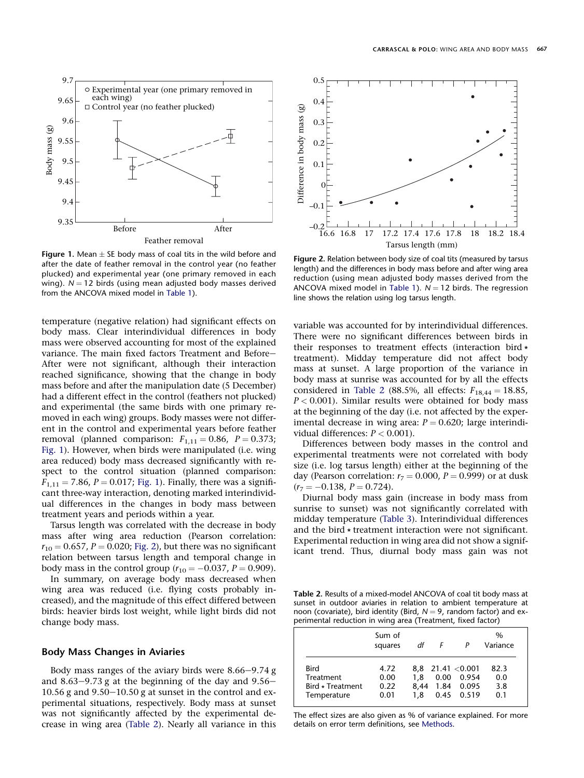<span id="page-4-0"></span>

Figure 1. Mean  $\pm$  SE body mass of coal tits in the wild before and after the date of feather removal in the control year (no feather plucked) and experimental year (one primary removed in each wing).  $N = 12$  birds (using mean adjusted body masses derived from the ANCOVA mixed model in [Table 1](#page-3-0)).

temperature (negative relation) had significant effects on body mass. Clear interindividual differences in body mass were observed accounting for most of the explained variance. The main fixed factors Treatment and Before-After were not significant, although their interaction reached significance, showing that the change in body mass before and after the manipulation date (5 December) had a different effect in the control (feathers not plucked) and experimental (the same birds with one primary removed in each wing) groups. Body masses were not different in the control and experimental years before feather removal (planned comparison:  $F_{1,11} = 0.86$ ,  $P = 0.373$ ; Fig. 1). However, when birds were manipulated (i.e. wing area reduced) body mass decreased significantly with respect to the control situation (planned comparison:  $F_{1,11} = 7.86, P = 0.017$ ; Fig. 1). Finally, there was a significant three-way interaction, denoting marked interindividual differences in the changes in body mass between treatment years and periods within a year.

Tarsus length was correlated with the decrease in body mass after wing area reduction (Pearson correlation:  $r_{10} = 0.657$ ,  $P = 0.020$ ; Fig. 2), but there was no significant relation between tarsus length and temporal change in body mass in the control group ( $r_{10} = -0.037$ ,  $P = 0.909$ ).

In summary, on average body mass decreased when wing area was reduced (i.e. flying costs probably increased), and the magnitude of this effect differed between birds: heavier birds lost weight, while light birds did not change body mass.

## Body Mass Changes in Aviaries

Body mass ranges of the aviary birds were  $8.66 - 9.74$  g and  $8.63-9.73$  g at the beginning of the day and  $9.56-$ 10.56 g and  $9.50-10.50$  g at sunset in the control and experimental situations, respectively. Body mass at sunset was not significantly affected by the experimental decrease in wing area (Table 2). Nearly all variance in this



Figure 2. Relation between body size of coal tits (measured by tarsus length) and the differences in body mass before and after wing area reduction (using mean adjusted body masses derived from the ANCOVA mixed model in [Table 1\)](#page-3-0).  $N = 12$  birds. The regression line shows the relation using log tarsus length.

variable was accounted for by interindividual differences. There were no significant differences between birds in their responses to treatment effects (interaction bird \* treatment). Midday temperature did not affect body mass at sunset. A large proportion of the variance in body mass at sunrise was accounted for by all the effects considered in Table 2 (88.5%, all effects:  $F_{18,44} = 18.85$ ,  $P < 0.001$ ). Similar results were obtained for body mass at the beginning of the day (i.e. not affected by the experimental decrease in wing area:  $P = 0.620$ ; large interindividual differences:  $P < 0.001$ ).

Differences between body masses in the control and experimental treatments were not correlated with body size (i.e. log tarsus length) either at the beginning of the day (Pearson correlation:  $r_7 = 0.000$ ,  $P = 0.999$ ) or at dusk  $(r_7 = -0.138, P = 0.724).$ 

Diurnal body mass gain (increase in body mass from sunrise to sunset) was not significantly correlated with midday temperature [\(Table 3](#page-5-0)). Interindividual differences and the bird \* treatment interaction were not significant. Experimental reduction in wing area did not show a significant trend. Thus, diurnal body mass gain was not

Table 2. Results of a mixed-model ANCOVA of coal tit body mass at sunset in outdoor aviaries in relation to ambient temperature at noon (covariate), bird identity (Bird,  $N = 9$ , random factor) and experimental reduction in wing area (Treatment, fixed factor)

|                  | Sum of<br>squares | df   | F    | P                   | $\%$<br>Variance |
|------------------|-------------------|------|------|---------------------|------------------|
| <b>Bird</b>      | 4.72              |      |      | $8,8$ 21.41 < 0.001 | 82.3             |
| <b>Treatment</b> | 0.00              | 1.8  | 0.00 | 0.954               | 0.0              |
| Bird * Treatment | 0.22              | 8.44 | 1.84 | 0.095               | 3.8              |
| Temperature      | 0.01              | 1.8  | 0.45 | 0.519               | 0.1              |

The effect sizes are also given as % of variance explained. For more details on error term definitions, see Methods.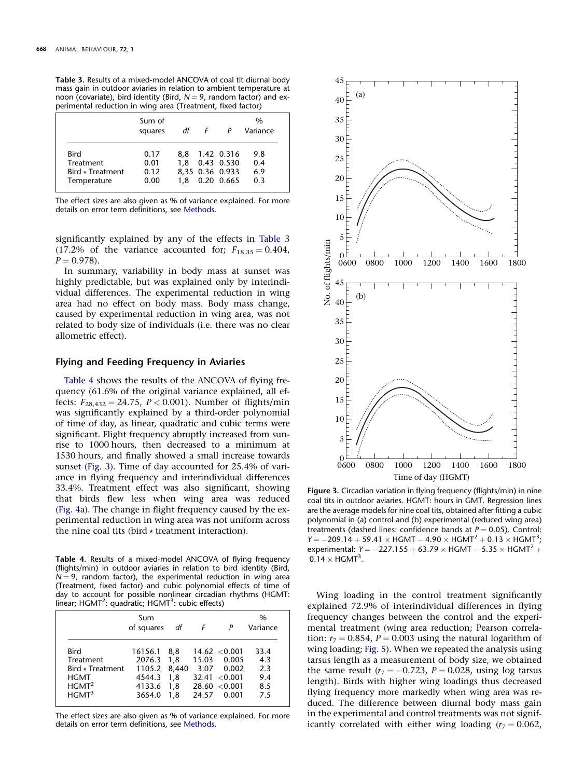<span id="page-5-0"></span>Table 3. Results of a mixed-model ANCOVA of coal tit diurnal body mass gain in outdoor aviaries in relation to ambient temperature at noon (covariate), bird identity (Bird,  $N = 9$ , random factor) and experimental reduction in wing area (Treatment, fixed factor)

|                  | Sum of<br>squares | df  | F |                 | $\%$<br>Variance |
|------------------|-------------------|-----|---|-----------------|------------------|
| <b>Bird</b>      | 0.17              | 8.8 |   | 1.42 0.316      | 9.8              |
| <b>Treatment</b> | 0.01              | 1.8 |   | 0.43 0.530      | 0.4              |
| Bird * Treatment | 0.12              |     |   | 8,35 0.36 0.933 | 6.9              |
| Temperature      | 0.00              | 1.8 |   | 0.20 0.665      | 0.3              |

The effect sizes are also given as % of variance explained. For more details on error term definitions, see Methods.

significantly explained by any of the effects in Table 3 (17.2% of the variance accounted for;  $F_{18,35} = 0.404$ ,  $P = 0.978$ .

In summary, variability in body mass at sunset was highly predictable, but was explained only by interindividual differences. The experimental reduction in wing area had no effect on body mass. Body mass change, caused by experimental reduction in wing area, was not related to body size of individuals (i.e. there was no clear allometric effect).

### Flying and Feeding Frequency in Aviaries

Table 4 shows the results of the ANCOVA of flying frequency (61.6% of the original variance explained, all effects:  $F_{28,432} = 24.75$ ,  $P < 0.001$ ). Number of flights/min was significantly explained by a third-order polynomial of time of day, as linear, quadratic and cubic terms were significant. Flight frequency abruptly increased from sunrise to 1000 hours, then decreased to a minimum at 1530 hours, and finally showed a small increase towards sunset (Fig. 3). Time of day accounted for 25.4% of variance in flying frequency and interindividual differences 33.4%. Treatment effect was also significant, showing that birds flew less when wing area was reduced ([Fig. 4a](#page-6-0)). The change in flight frequency caused by the experimental reduction in wing area was not uniform across the nine coal tits (bird \* treatment interaction).

Table 4. Results of a mixed-model ANCOVA of flying frequency (flights/min) in outdoor aviaries in relation to bird identity (Bird,  $N = 9$ , random factor), the experimental reduction in wing area (Treatment, fixed factor) and cubic polynomial effects of time of day to account for possible nonlinear circadian rhythms (HGMT: linear; HGMT<sup>2</sup>: quadratic; HGMT<sup>3</sup>: cubic effects)

|                                                                                                          | Sum<br>of squares df                                            |                                 | F                      | P                                                                                  | $\%$<br>Variance                        |
|----------------------------------------------------------------------------------------------------------|-----------------------------------------------------------------|---------------------------------|------------------------|------------------------------------------------------------------------------------|-----------------------------------------|
| <b>Bird</b><br>Treatment<br>Bird * Treatment<br><b>HGMT</b><br>HGMT <sup>2</sup><br>$H$ GMT <sup>3</sup> | 16156.1<br>2076.3<br>1105.2 8,440<br>4544.3<br>4133.6<br>3654.0 | 8.8<br>1.8<br>1.8<br>1.8<br>1.8 | 15.03<br>3.07<br>24.57 | $14.62 \le 0.001$<br>0.005<br>0.002<br>32.41 < 0.001<br>$28.60 \le 0.001$<br>0.001 | 33.4<br>4.3<br>2.3<br>9.4<br>8.5<br>7.5 |

The effect sizes are also given as % of variance explained. For more details on error term definitions, see Methods.



Figure 3. Circadian variation in flying frequency (flights/min) in nine coal tits in outdoor aviaries. HGMT: hours in GMT. Regression lines are the average models for nine coal tits, obtained after fitting a cubic polynomial in (a) control and (b) experimental (reduced wing area) treatments (dashed lines: confidence bands at  $P = 0.05$ ). Control:  $Y = -209.14 + 59.41 \times HGMT - 4.90 \times HGMT^2 + 0.13 \times HGMT^3;$ experimental:  $Y = -227.155 + 63.79 \times$  HGMT - 5.35  $\times$  HGMT<sup>2</sup> +  $0.14 \times$  HGMT<sup>3</sup>.

Wing loading in the control treatment significantly explained 72.9% of interindividual differences in flying frequency changes between the control and the experimental treatment (wing area reduction; Pearson correlation:  $r_7 = 0.854$ ,  $P = 0.003$  using the natural logarithm of wing loading; [Fig. 5\)](#page-6-0). When we repeated the analysis using tarsus length as a measurement of body size, we obtained the same result ( $r_7 = -0.723$ ,  $P = 0.028$ , using log tarsus length). Birds with higher wing loadings thus decreased flying frequency more markedly when wing area was reduced. The difference between diurnal body mass gain in the experimental and control treatments was not significantly correlated with either wing loading ( $r_7 = 0.062$ ,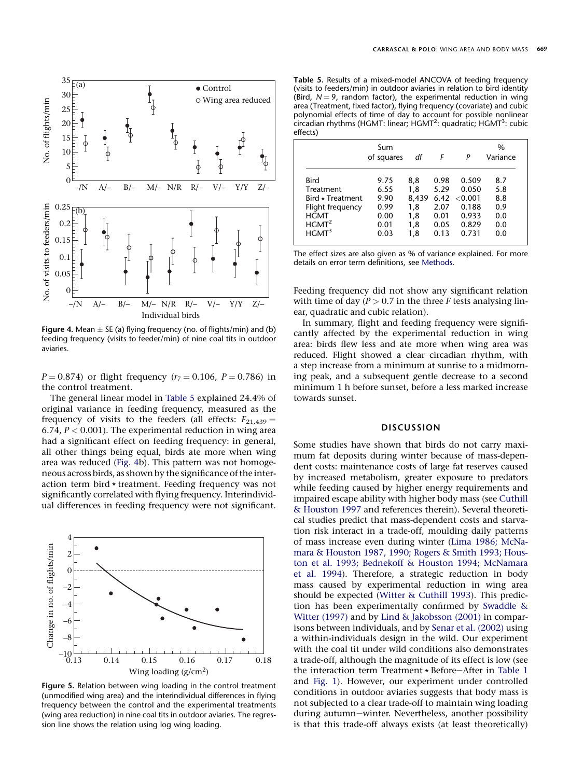<span id="page-6-0"></span>

**Figure 4.** Mean  $\pm$  SE (a) flying frequency (no. of flights/min) and (b) feeding frequency (visits to feeder/min) of nine coal tits in outdoor aviaries.

 $P = 0.874$ ) or flight frequency ( $r_7 = 0.106$ ,  $P = 0.786$ ) in the control treatment.

The general linear model in Table 5 explained 24.4% of original variance in feeding frequency, measured as the frequency of visits to the feeders (all effects:  $F_{21,439} =$ 6.74,  $P < 0.001$ ). The experimental reduction in wing area had a significant effect on feeding frequency: in general, all other things being equal, birds ate more when wing area was reduced (Fig. 4b). This pattern was not homogeneous across birds, as shown by the significance of the interaction term bird \* treatment. Feeding frequency was not significantly correlated with flying frequency. Interindividual differences in feeding frequency were not significant.



Figure 5. Relation between wing loading in the control treatment (unmodified wing area) and the interindividual differences in flying frequency between the control and the experimental treatments (wing area reduction) in nine coal tits in outdoor aviaries. The regression line shows the relation using log wing loading.

Table 5. Results of a mixed-model ANCOVA of feeding frequency (visits to feeders/min) in outdoor aviaries in relation to bird identity (Bird,  $N = 9$ , random factor), the experimental reduction in wing area (Treatment, fixed factor), flying frequency (covariate) and cubic polynomial effects of time of day to account for possible nonlinear circadian rhythms (HGMT: linear; HGMT<sup>2</sup>: quadratic; HGMT<sup>3</sup>: cubic effects)

|                   | Sum<br>of squares | df    | F    | P       | $\%$<br>Variance |
|-------------------|-------------------|-------|------|---------|------------------|
| <b>Bird</b>       | 9.75              | 8,8   | 0.98 | 0.509   | 8.7              |
| <b>Treatment</b>  | 6.55              | 1,8   | 5.29 | 0.050   | 5.8              |
| Bird * Treatment  | 9.90              | 8,439 | 6.42 | < 0.001 | 8.8              |
| Flight frequency  | 0.99              | 1,8   | 2.07 | 0.188   | 0.9              |
| <b>HGMT</b>       | 0.00              | 1,8   | 0.01 | 0.933   | 0.0              |
| HGMT <sup>2</sup> | 0.01              | 1,8   | 0.05 | 0.829   | 0.0              |
| HGMT <sup>3</sup> | 0.03              | 1,8   | 0.13 | 0.731   | 0.0              |

The effect sizes are also given as % of variance explained. For more details on error term definitions, see Methods.

Feeding frequency did not show any significant relation with time of day ( $P > 0.7$  in the three F tests analysing linear, quadratic and cubic relation).

In summary, flight and feeding frequency were significantly affected by the experimental reduction in wing area: birds flew less and ate more when wing area was reduced. Flight showed a clear circadian rhythm, with a step increase from a minimum at sunrise to a midmorning peak, and a subsequent gentle decrease to a second minimum 1 h before sunset, before a less marked increase towards sunset.

#### **DISCUSSION**

Some studies have shown that birds do not carry maximum fat deposits during winter because of mass-dependent costs: maintenance costs of large fat reserves caused by increased metabolism, greater exposure to predators while feeding caused by higher energy requirements and impaired escape ability with higher body mass (see [Cuthill](#page-8-0) [& Houston 1997](#page-8-0) and references therein). Several theoretical studies predict that mass-dependent costs and starvation risk interact in a trade-off, moulding daily patterns of mass increase even during winter [\(Lima 1986; McNa](#page-9-0)[mara & Houston 1987, 1990; Rogers & Smith 1993; Hous](#page-9-0)[ton et al. 1993; Bednekoff & Houston 1994; McNamara](#page-9-0) [et al. 1994\)](#page-9-0). Therefore, a strategic reduction in body mass caused by experimental reduction in wing area should be expected ([Witter & Cuthill 1993](#page-9-0)). This prediction has been experimentally confirmed by [Swaddle &](#page-9-0) [Witter \(1997\)](#page-9-0) and by [Lind & Jakobsson \(2001\)](#page-9-0) in comparisons between individuals, and by [Senar et al. \(2002\)](#page-9-0) using a within-individuals design in the wild. Our experiment with the coal tit under wild conditions also demonstrates a trade-off, although the magnitude of its effect is low (see the interaction term Treatment \* Before-After in [Table 1](#page-3-0) and [Fig. 1\)](#page-4-0). However, our experiment under controlled conditions in outdoor aviaries suggests that body mass is not subjected to a clear trade-off to maintain wing loading during autumn-winter. Nevertheless, another possibility is that this trade-off always exists (at least theoretically)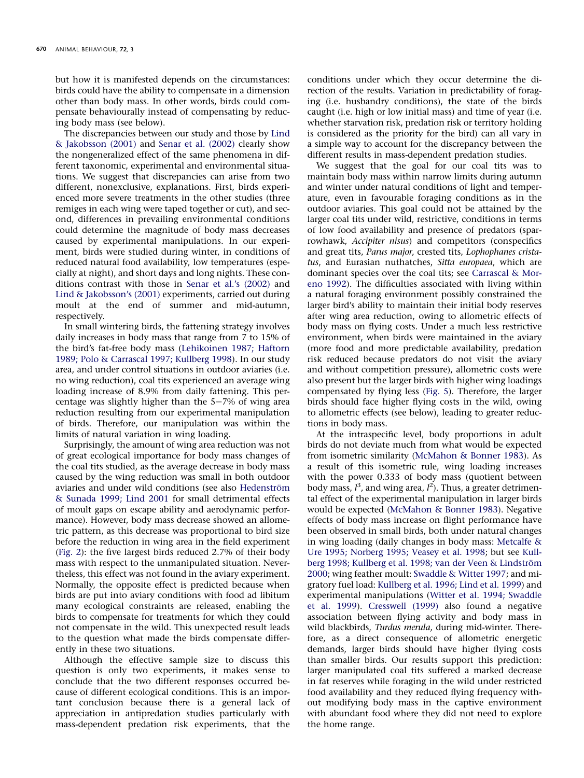but how it is manifested depends on the circumstances: birds could have the ability to compensate in a dimension other than body mass. In other words, birds could compensate behaviourally instead of compensating by reducing body mass (see below).

The discrepancies between our study and those by [Lind](#page-9-0) [& Jakobsson \(2001\)](#page-9-0) and [Senar et al. \(2002\)](#page-9-0) clearly show the nongeneralized effect of the same phenomena in different taxonomic, experimental and environmental situations. We suggest that discrepancies can arise from two different, nonexclusive, explanations. First, birds experienced more severe treatments in the other studies (three remiges in each wing were taped together or cut), and second, differences in prevailing environmental conditions could determine the magnitude of body mass decreases caused by experimental manipulations. In our experiment, birds were studied during winter, in conditions of reduced natural food availability, low temperatures (especially at night), and short days and long nights. These conditions contrast with those in [Senar et al.'s \(2002\)](#page-9-0) and [Lind & Jakobsson's \(2001\)](#page-9-0) experiments, carried out during moult at the end of summer and mid-autumn, respectively.

In small wintering birds, the fattening strategy involves daily increases in body mass that range from 7 to 15% of the bird's fat-free body mass [\(Lehikoinen 1987; Haftorn](#page-9-0) [1989; Polo & Carrascal 1997; Kullberg 1998\)](#page-9-0). In our study area, and under control situations in outdoor aviaries (i.e. no wing reduction), coal tits experienced an average wing loading increase of 8.9% from daily fattening. This percentage was slightly higher than the  $5-7%$  of wing area reduction resulting from our experimental manipulation of birds. Therefore, our manipulation was within the limits of natural variation in wing loading.

Surprisingly, the amount of wing area reduction was not of great ecological importance for body mass changes of the coal tits studied, as the average decrease in body mass caused by the wing reduction was small in both outdoor aviaries and under wild conditions (see also Hedenström [& Sunada 1999; Lind 2001](#page-8-0) for small detrimental effects of moult gaps on escape ability and aerodynamic performance). However, body mass decrease showed an allometric pattern, as this decrease was proportional to bird size before the reduction in wing area in the field experiment ([Fig. 2\)](#page-4-0): the five largest birds reduced 2.7% of their body mass with respect to the unmanipulated situation. Nevertheless, this effect was not found in the aviary experiment. Normally, the opposite effect is predicted because when birds are put into aviary conditions with food ad libitum many ecological constraints are released, enabling the birds to compensate for treatments for which they could not compensate in the wild. This unexpected result leads to the question what made the birds compensate differently in these two situations.

Although the effective sample size to discuss this question is only two experiments, it makes sense to conclude that the two different responses occurred because of different ecological conditions. This is an important conclusion because there is a general lack of appreciation in antipredation studies particularly with mass-dependent predation risk experiments, that the

conditions under which they occur determine the direction of the results. Variation in predictability of foraging (i.e. husbandry conditions), the state of the birds caught (i.e. high or low initial mass) and time of year (i.e. whether starvation risk, predation risk or territory holding is considered as the priority for the bird) can all vary in a simple way to account for the discrepancy between the different results in mass-dependent predation studies.

We suggest that the goal for our coal tits was to maintain body mass within narrow limits during autumn and winter under natural conditions of light and temperature, even in favourable foraging conditions as in the outdoor aviaries. This goal could not be attained by the larger coal tits under wild, restrictive, conditions in terms of low food availability and presence of predators (sparrowhawk, Accipiter nisus) and competitors (conspecifics and great tits, Parus major, crested tits, Lophophanes cristatus, and Eurasian nuthatches, Sitta europaea, which are dominant species over the coal tits; see [Carrascal & Mor](#page-8-0)[eno 1992\)](#page-8-0). The difficulties associated with living within a natural foraging environment possibly constrained the larger bird's ability to maintain their initial body reserves after wing area reduction, owing to allometric effects of body mass on flying costs. Under a much less restrictive environment, when birds were maintained in the aviary (more food and more predictable availability, predation risk reduced because predators do not visit the aviary and without competition pressure), allometric costs were also present but the larger birds with higher wing loadings compensated by flying less [\(Fig. 5\)](#page-6-0). Therefore, the larger birds should face higher flying costs in the wild, owing to allometric effects (see below), leading to greater reductions in body mass.

At the intraspecific level, body proportions in adult birds do not deviate much from what would be expected from isometric similarity [\(McMahon & Bonner 1983](#page-9-0)). As a result of this isometric rule, wing loading increases with the power 0.333 of body mass (quotient between body mass,  $l^3$ , and wing area,  $l^2$ ). Thus, a greater detrimental effect of the experimental manipulation in larger birds would be expected ([McMahon & Bonner 1983](#page-9-0)). Negative effects of body mass increase on flight performance have been observed in small birds, both under natural changes in wing loading (daily changes in body mass: [Metcalfe &](#page-9-0) [Ure 1995; Norberg 1995; Veasey et al. 1998](#page-9-0); but see [Kull](#page-9-0)berg 1998; Kullberg et al. 1998; van der Veen & Lindström [2000](#page-9-0); wing feather moult: [Swaddle & Witter 1997](#page-9-0); and migratory fuel load: [Kullberg et al. 1996; Lind et al. 1999\)](#page-9-0) and experimental manipulations [\(Witter et al. 1994; Swaddle](#page-9-0) [et al. 1999](#page-9-0)). [Cresswell \(1999\)](#page-8-0) also found a negative association between flying activity and body mass in wild blackbirds, Turdus merula, during mid-winter. Therefore, as a direct consequence of allometric energetic demands, larger birds should have higher flying costs than smaller birds. Our results support this prediction: larger manipulated coal tits suffered a marked decrease in fat reserves while foraging in the wild under restricted food availability and they reduced flying frequency without modifying body mass in the captive environment with abundant food where they did not need to explore the home range.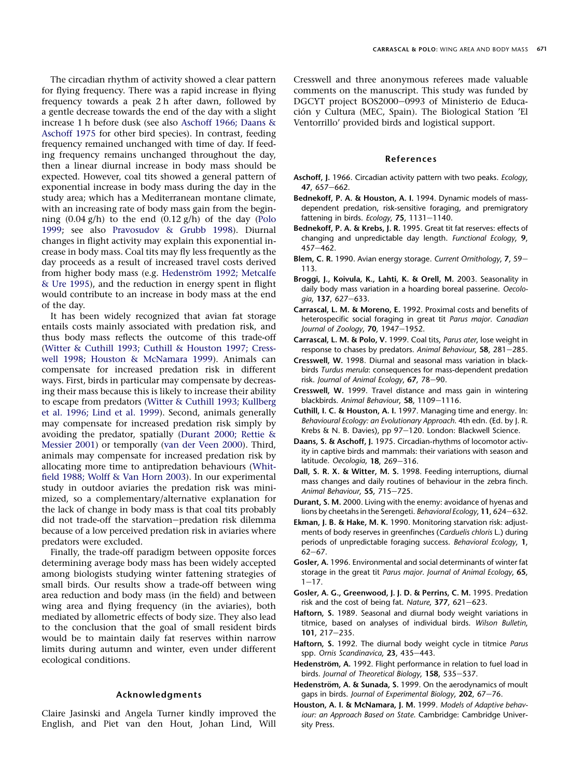<span id="page-8-0"></span>The circadian rhythm of activity showed a clear pattern for flying frequency. There was a rapid increase in flying frequency towards a peak 2 h after dawn, followed by a gentle decrease towards the end of the day with a slight increase 1 h before dusk (see also Aschoff 1966; Daans & Aschoff 1975 for other bird species). In contrast, feeding frequency remained unchanged with time of day. If feeding frequency remains unchanged throughout the day, then a linear diurnal increase in body mass should be expected. However, coal tits showed a general pattern of exponential increase in body mass during the day in the study area; which has a Mediterranean montane climate, with an increasing rate of body mass gain from the beginning  $(0.04 \text{ g/h})$  to the end  $(0.12 \text{ g/h})$  of the day [\(Polo](#page-9-0) [1999](#page-9-0); see also [Pravosudov & Grubb 1998\)](#page-9-0). Diurnal changes in flight activity may explain this exponential increase in body mass. Coal tits may fly less frequently as the day proceeds as a result of increased travel costs derived from higher body mass (e.g. Hedenström 1992; Metcalfe & Ure 1995), and the reduction in energy spent in flight would contribute to an increase in body mass at the end of the day.

It has been widely recognized that avian fat storage entails costs mainly associated with predation risk, and thus body mass reflects the outcome of this trade-off ([Witter & Cuthill 1993; Cuthill & Houston 1997; Cress](#page-9-0)[well 1998; Houston & McNamara 1999](#page-9-0)). Animals can compensate for increased predation risk in different ways. First, birds in particular may compensate by decreasing their mass because this is likely to increase their ability to escape from predators [\(Witter & Cuthill 1993; Kullberg](#page-9-0) [et al. 1996; Lind et al. 1999\)](#page-9-0). Second, animals generally may compensate for increased predation risk simply by avoiding the predator, spatially (Durant 2000; Rettie & Messier 2001) or temporally [\(van der Veen 2000](#page-9-0)). Third, animals may compensate for increased predation risk by allocating more time to antipredation behaviours [\(Whit](#page-9-0)[field 1988; Wolff & Van Horn 2003\)](#page-9-0). In our experimental study in outdoor aviaries the predation risk was minimized, so a complementary/alternative explanation for the lack of change in body mass is that coal tits probably did not trade-off the starvation-predation risk dilemma because of a low perceived predation risk in aviaries where predators were excluded.

Finally, the trade-off paradigm between opposite forces determining average body mass has been widely accepted among biologists studying winter fattening strategies of small birds. Our results show a trade-off between wing area reduction and body mass (in the field) and between wing area and flying frequency (in the aviaries), both mediated by allometric effects of body size. They also lead to the conclusion that the goal of small resident birds would be to maintain daily fat reserves within narrow limits during autumn and winter, even under different ecological conditions.

## Acknowledgments

Claire Jasinski and Angela Turner kindly improved the English, and Piet van den Hout, Johan Lind, Will Cresswell and three anonymous referees made valuable comments on the manuscript. This study was funded by DGCYT project BOS2000-0993 of Ministerio de Educación y Cultura (MEC, Spain). The Biological Station 'El Ventorrillo' provided birds and logistical support.

## References

- Aschoff, J. 1966. Circadian activity pattern with two peaks. Ecology, 47, 657-662.
- Bednekoff, P. A. & Houston, A. I. 1994. Dynamic models of massdependent predation, risk-sensitive foraging, and premigratory fattening in birds. Ecology,  $75$ ,  $1131-1140$ .
- Bednekoff, P. A. & Krebs, J. R. 1995. Great tit fat reserves: effects of changing and unpredictable day length. Functional Ecology, 9,  $457 - 462.$
- Blem, C. R. 1990. Avian energy storage. Current Ornithology, 7, 59-113.
- Broggi, J., Koivula, K., Lahti, K. & Orell, M. 2003. Seasonality in daily body mass variation in a hoarding boreal passerine. Oecologia, 137, 627-633.
- Carrascal, L. M. & Moreno, E. 1992. Proximal costs and benefits of heterospecific social foraging in great tit Parus major. Canadian Journal of Zoology,  $70$ ,  $1947-1952$ .
- Carrascal, L. M. & Polo, V. 1999. Coal tits, Parus ater, lose weight in response to chases by predators. Animal Behaviour,  $58$ ,  $281-285$ .
- Cresswell, W. 1998. Diurnal and seasonal mass variation in blackbirds Turdus merula: consequences for mass-dependent predation risk. Journal of Animal Ecology,  $67$ ,  $78-90$ .
- Cresswell, W. 1999. Travel distance and mass gain in wintering blackbirds. Animal Behaviour, 58, 1109-1116.
- Cuthill, I. C. & Houston, A. I. 1997. Managing time and energy. In: Behavioural Ecology: an Evolutionary Approach. 4th edn. (Ed. by J. R. Krebs & N. B. Davies), pp 97-120. London: Blackwell Science.
- Daans, S. & Aschoff, J. 1975. Circadian-rhythms of locomotor activity in captive birds and mammals: their variations with season and latitude. Oecologia, 18, 269-316.
- Dall, S. R. X. & Witter, M. S. 1998. Feeding interruptions, diurnal mass changes and daily routines of behaviour in the zebra finch. Animal Behaviour, 55, 715-725.
- Durant, S. M. 2000. Living with the enemy: avoidance of hyenas and lions by cheetahs in the Serengeti. Behavioral Ecology, 11, 624-632.
- Ekman, J. B. & Hake, M. K. 1990. Monitoring starvation risk: adjustments of body reserves in greenfinches (Carduelis chloris L.) during periods of unpredictable foraging success. Behavioral Ecology, 1,  $62 - 67$ .
- Gosler, A. 1996. Environmental and social determinants of winter fat storage in the great tit Parus major. Journal of Animal Ecology, 65,  $1 - 17.$
- Gosler, A. G., Greenwood, J. J. D. & Perrins, C. M. 1995. Predation risk and the cost of being fat. Nature,  $377$ ,  $621-623$ .
- Haftorn, S. 1989. Seasonal and diurnal body weight variations in titmice, based on analyses of individual birds. Wilson Bulletin, 101, 217-235.
- Haftorn, S. 1992. The diurnal body weight cycle in titmice Parus spp. Ornis Scandinavica, 23, 435-443.
- Hedenström, A. 1992. Flight performance in relation to fuel load in birds. Journal of Theoretical Biology, 158, 535-537.
- Hedenström, A. & Sunada, S. 1999. On the aerodynamics of moult gaps in birds. Journal of Experimental Biology, 202, 67-76.
- Houston, A. I. & McNamara, J. M. 1999. Models of Adaptive behaviour: an Approach Based on State. Cambridge: Cambridge University Press.